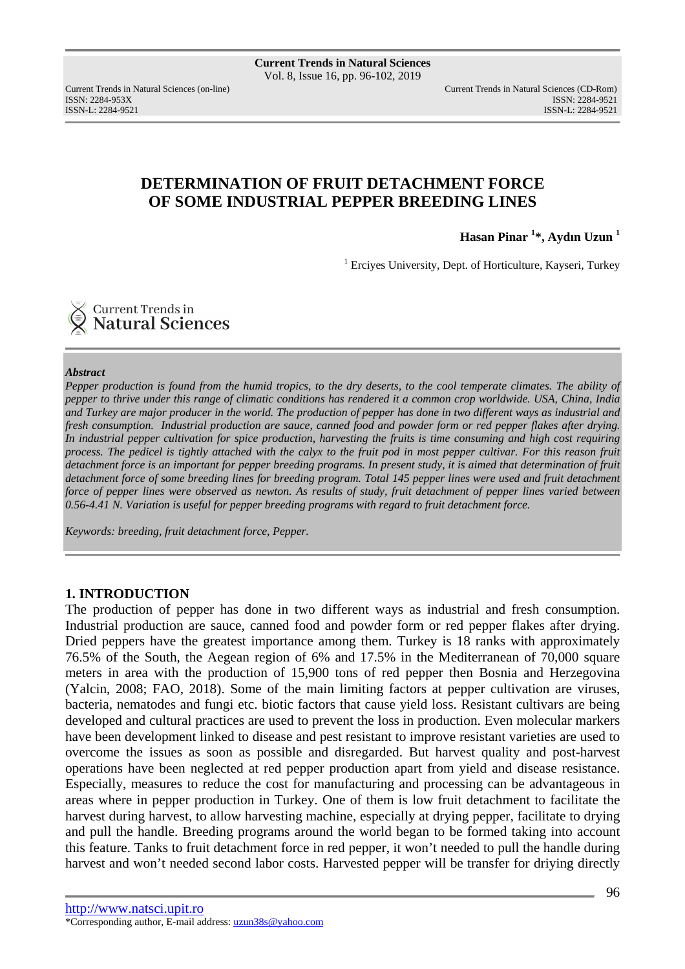ISSN: 2284-953XISSN: 2284-9521

Current Trends in Natural Sciences (on-line) Current Trends in Natural Sciences (CD-Rom) ISSN-L: 2284-9521

## **DETERMINATION OF FRUIT DETACHMENT FORCE OF SOME INDUSTRIAL PEPPER BREEDING LINES**

**Hasan Pinar <sup>1</sup> \*, Aydın Uzun <sup>1</sup>**

<sup>1</sup> Erciyes University, Dept. of Horticulture, Kayseri, Turkey

Current Trends in **Natural Sciences** 

#### *Abstract*

*Pepper production is found from the humid tropics, to the dry deserts, to the cool temperate climates. The ability of pepper to thrive under this range of climatic conditions has rendered it a common crop worldwide. USA, China, India and Turkey are major producer in the world. The production of pepper has done in two different ways as industrial and fresh consumption. Industrial production are sauce, canned food and powder form or red pepper flakes after drying. In industrial pepper cultivation for spice production, harvesting the fruits is time consuming and high cost requiring process. The pedicel is tightly attached with the calyx to the fruit pod in most pepper cultivar. For this reason fruit detachment force is an important for pepper breeding programs. In present study, it is aimed that determination of fruit detachment force of some breeding lines for breeding program. Total 145 pepper lines were used and fruit detachment force of pepper lines were observed as newton. As results of study, fruit detachment of pepper lines varied between 0.56-4.41 N. Variation is useful for pepper breeding programs with regard to fruit detachment force.* 

*Keywords: breeding, fruit detachment force, Pepper.* 

## **1. INTRODUCTION**

The production of pepper has done in two different ways as industrial and fresh consumption. Industrial production are sauce, canned food and powder form or red pepper flakes after drying. Dried peppers have the greatest importance among them. Turkey is 18 ranks with approximately 76.5% of the South, the Aegean region of 6% and 17.5% in the Mediterranean of 70,000 square meters in area with the production of 15,900 tons of red pepper then Bosnia and Herzegovina (Yalcin, 2008; FAO, 2018). Some of the main limiting factors at pepper cultivation are viruses, bacteria, nematodes and fungi etc. biotic factors that cause yield loss. Resistant cultivars are being developed and cultural practices are used to prevent the loss in production. Even molecular markers have been development linked to disease and pest resistant to improve resistant varieties are used to overcome the issues as soon as possible and disregarded. But harvest quality and post-harvest operations have been neglected at red pepper production apart from yield and disease resistance. Especially, measures to reduce the cost for manufacturing and processing can be advantageous in areas where in pepper production in Turkey. One of them is low fruit detachment to facilitate the harvest during harvest, to allow harvesting machine, especially at drying pepper, facilitate to drying and pull the handle. Breeding programs around the world began to be formed taking into account this feature. Tanks to fruit detachment force in red pepper, it won't needed to pull the handle during harvest and won't needed second labor costs. Harvested pepper will be transfer for driving directly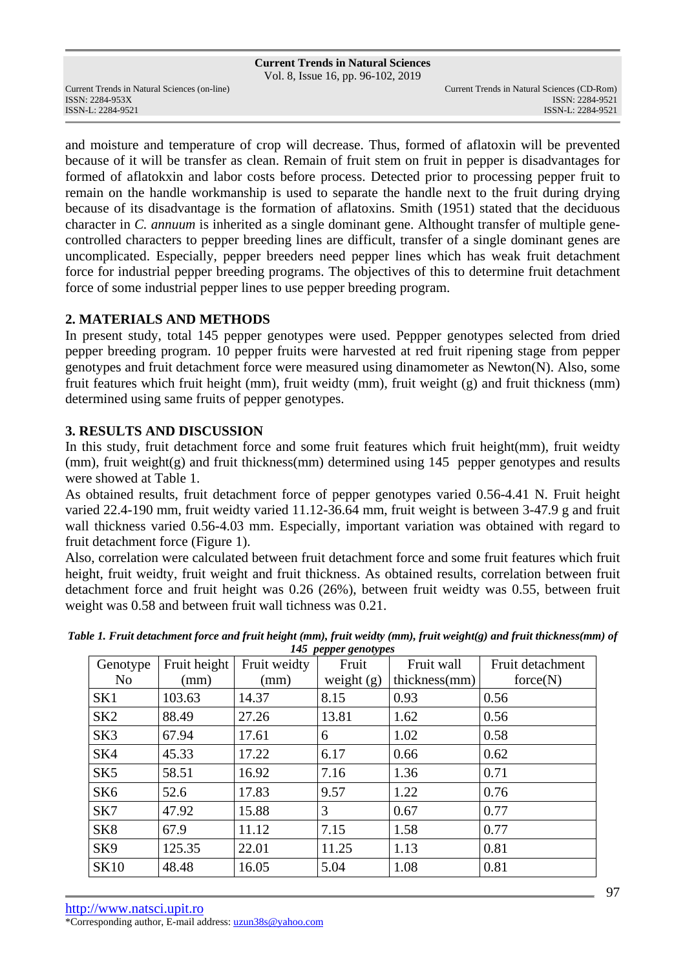Vol. 8, Issue 16, pp. 96-102, 2019

and moisture and temperature of crop will decrease. Thus, formed of aflatoxin will be prevented because of it will be transfer as clean. Remain of fruit stem on fruit in pepper is disadvantages for formed of aflatokxin and labor costs before process. Detected prior to processing pepper fruit to remain on the handle workmanship is used to separate the handle next to the fruit during drying because of its disadvantage is the formation of aflatoxins. Smith (1951) stated that the deciduous character in *C. annuum* is inherited as a single dominant gene. Althought transfer of multiple genecontrolled characters to pepper breeding lines are difficult, transfer of a single dominant genes are uncomplicated. Especially, pepper breeders need pepper lines which has weak fruit detachment force for industrial pepper breeding programs. The objectives of this to determine fruit detachment force of some industrial pepper lines to use pepper breeding program.

## **2. MATERIALS AND METHODS**

In present study, total 145 pepper genotypes were used. Peppper genotypes selected from dried pepper breeding program. 10 pepper fruits were harvested at red fruit ripening stage from pepper genotypes and fruit detachment force were measured using dinamometer as Newton(N). Also, some fruit features which fruit height (mm), fruit weidty (mm), fruit weight (g) and fruit thickness (mm) determined using same fruits of pepper genotypes.

## **3. RESULTS AND DISCUSSION**

In this study, fruit detachment force and some fruit features which fruit height(mm), fruit weidty (mm), fruit weight(g) and fruit thickness(mm) determined using 145 pepper genotypes and results were showed at Table 1.

As obtained results, fruit detachment force of pepper genotypes varied 0.56-4.41 N. Fruit height varied 22.4-190 mm, fruit weidty varied 11.12-36.64 mm, fruit weight is between 3-47.9 g and fruit wall thickness varied 0.56-4.03 mm. Especially, important variation was obtained with regard to fruit detachment force (Figure 1).

Also, correlation were calculated between fruit detachment force and some fruit features which fruit height, fruit weidty, fruit weight and fruit thickness. As obtained results, correlation between fruit detachment force and fruit height was 0.26 (26%), between fruit weidty was 0.55, between fruit weight was 0.58 and between fruit wall tichness was 0.21.

| Genotype        | Fruit height | Fruit weidty | Fruit        | Fruit wall    | Fruit detachment |
|-----------------|--------------|--------------|--------------|---------------|------------------|
| N <sub>o</sub>  | (mm)         | (mm)         | weight $(g)$ | thickness(mm) | force(N)         |
| SK1             | 103.63       | 14.37        | 8.15         | 0.93          | 0.56             |
| SK <sub>2</sub> | 88.49        | 27.26        | 13.81        | 1.62          | 0.56             |
| SK <sub>3</sub> | 67.94        | 17.61        | 6            | 1.02          | 0.58             |
| SK4             | 45.33        | 17.22        | 6.17         | 0.66          | 0.62             |
| SK <sub>5</sub> | 58.51        | 16.92        | 7.16         | 1.36          | 0.71             |
| SK <sub>6</sub> | 52.6         | 17.83        | 9.57         | 1.22          | 0.76             |
| SK7             | 47.92        | 15.88        | 3            | 0.67          | 0.77             |
| SK <sub>8</sub> | 67.9         | 11.12        | 7.15         | 1.58          | 0.77             |
| SK <sub>9</sub> | 125.35       | 22.01        | 11.25        | 1.13          | 0.81             |
| <b>SK10</b>     | 48.48        | 16.05        | 5.04         | 1.08          | 0.81             |

*Table 1. Fruit detachment force and fruit height (mm), fruit weidty (mm), fruit weight(g) and fruit thickness(mm) of 145 pepper genotypes*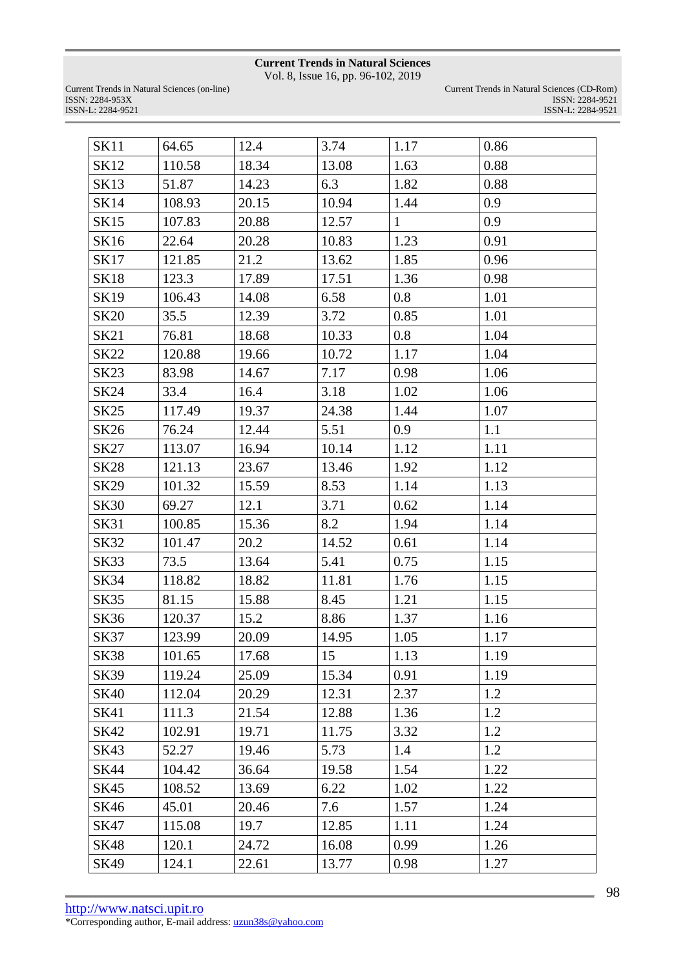Vol. 8, Issue 16, pp. 96-102, 2019

| <b>SK11</b> | 64.65  | 12.4  | 3.74  | 1.17         | 0.86 |
|-------------|--------|-------|-------|--------------|------|
| <b>SK12</b> | 110.58 | 18.34 | 13.08 | 1.63         | 0.88 |
| <b>SK13</b> | 51.87  | 14.23 | 6.3   | 1.82         | 0.88 |
| <b>SK14</b> | 108.93 | 20.15 | 10.94 | 1.44         | 0.9  |
| SK15        | 107.83 | 20.88 | 12.57 | $\mathbf{1}$ | 0.9  |
| SK16        | 22.64  | 20.28 | 10.83 | 1.23         | 0.91 |
| SK17        | 121.85 | 21.2  | 13.62 | 1.85         | 0.96 |
| <b>SK18</b> | 123.3  | 17.89 | 17.51 | 1.36         | 0.98 |
| <b>SK19</b> | 106.43 | 14.08 | 6.58  | 0.8          | 1.01 |
| <b>SK20</b> | 35.5   | 12.39 | 3.72  | 0.85         | 1.01 |
| <b>SK21</b> | 76.81  | 18.68 | 10.33 | 0.8          | 1.04 |
| <b>SK22</b> | 120.88 | 19.66 | 10.72 | 1.17         | 1.04 |
| <b>SK23</b> | 83.98  | 14.67 | 7.17  | 0.98         | 1.06 |
| <b>SK24</b> | 33.4   | 16.4  | 3.18  | 1.02         | 1.06 |
| <b>SK25</b> | 117.49 | 19.37 | 24.38 | 1.44         | 1.07 |
| SK26        | 76.24  | 12.44 | 5.51  | 0.9          | 1.1  |
| SK27        | 113.07 | 16.94 | 10.14 | 1.12         | 1.11 |
| <b>SK28</b> | 121.13 | 23.67 | 13.46 | 1.92         | 1.12 |
| SK29        | 101.32 | 15.59 | 8.53  | 1.14         | 1.13 |
| <b>SK30</b> | 69.27  | 12.1  | 3.71  | 0.62         | 1.14 |
| <b>SK31</b> | 100.85 | 15.36 | 8.2   | 1.94         | 1.14 |
| SK32        | 101.47 | 20.2  | 14.52 | 0.61         | 1.14 |
| <b>SK33</b> | 73.5   | 13.64 | 5.41  | 0.75         | 1.15 |
| SK34        | 118.82 | 18.82 | 11.81 | 1.76         | 1.15 |
| <b>SK35</b> | 81.15  | 15.88 | 8.45  | 1.21         | 1.15 |
| <b>SK36</b> | 120.37 | 15.2  | 8.86  | 1.37         | 1.16 |
| <b>SK37</b> | 123.99 | 20.09 | 14.95 | 1.05         | 1.17 |
| <b>SK38</b> | 101.65 | 17.68 | 15    | 1.13         | 1.19 |
| <b>SK39</b> | 119.24 | 25.09 | 15.34 | 0.91         | 1.19 |
| <b>SK40</b> | 112.04 | 20.29 | 12.31 | 2.37         | 1.2  |
| <b>SK41</b> | 111.3  | 21.54 | 12.88 | 1.36         | 1.2  |
| <b>SK42</b> | 102.91 | 19.71 | 11.75 | 3.32         | 1.2  |
| SK43        | 52.27  | 19.46 | 5.73  | 1.4          | 1.2  |
| <b>SK44</b> | 104.42 | 36.64 | 19.58 | 1.54         | 1.22 |
| SK45        | 108.52 | 13.69 | 6.22  | 1.02         | 1.22 |
| <b>SK46</b> | 45.01  | 20.46 | 7.6   | 1.57         | 1.24 |
| SK47        | 115.08 | 19.7  | 12.85 | 1.11         | 1.24 |
| <b>SK48</b> | 120.1  | 24.72 | 16.08 | 0.99         | 1.26 |
| SK49        | 124.1  | 22.61 | 13.77 | 0.98         | 1.27 |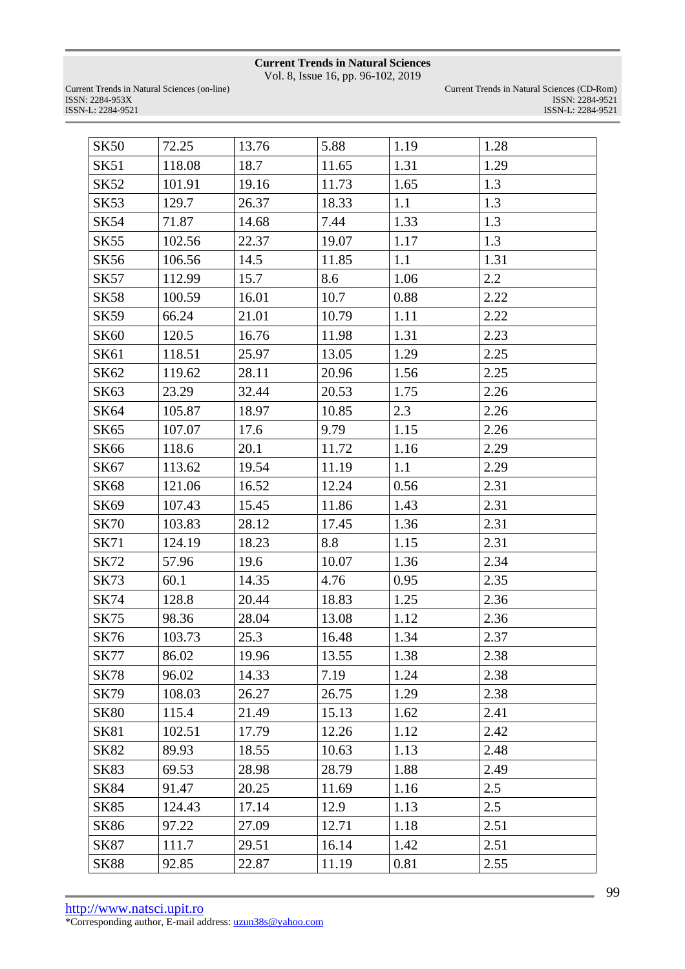Vol. 8, Issue 16, pp. 96-102, 2019

| <b>SK50</b> | 72.25  | 13.76 | 5.88  | 1.19 | 1.28 |
|-------------|--------|-------|-------|------|------|
| <b>SK51</b> | 118.08 | 18.7  | 11.65 | 1.31 | 1.29 |
| <b>SK52</b> | 101.91 | 19.16 | 11.73 | 1.65 | 1.3  |
| <b>SK53</b> | 129.7  | 26.37 | 18.33 | 1.1  | 1.3  |
| <b>SK54</b> | 71.87  | 14.68 | 7.44  | 1.33 | 1.3  |
| <b>SK55</b> | 102.56 | 22.37 | 19.07 | 1.17 | 1.3  |
| <b>SK56</b> | 106.56 | 14.5  | 11.85 | 1.1  | 1.31 |
| <b>SK57</b> | 112.99 | 15.7  | 8.6   | 1.06 | 2.2  |
| <b>SK58</b> | 100.59 | 16.01 | 10.7  | 0.88 | 2.22 |
| <b>SK59</b> | 66.24  | 21.01 | 10.79 | 1.11 | 2.22 |
| <b>SK60</b> | 120.5  | 16.76 | 11.98 | 1.31 | 2.23 |
| <b>SK61</b> | 118.51 | 25.97 | 13.05 | 1.29 | 2.25 |
| SK62        | 119.62 | 28.11 | 20.96 | 1.56 | 2.25 |
| SK63        | 23.29  | 32.44 | 20.53 | 1.75 | 2.26 |
| SK64        | 105.87 | 18.97 | 10.85 | 2.3  | 2.26 |
| <b>SK65</b> | 107.07 | 17.6  | 9.79  | 1.15 | 2.26 |
| <b>SK66</b> | 118.6  | 20.1  | 11.72 | 1.16 | 2.29 |
| SK67        | 113.62 | 19.54 | 11.19 | 1.1  | 2.29 |
| <b>SK68</b> | 121.06 | 16.52 | 12.24 | 0.56 | 2.31 |
| SK69        | 107.43 | 15.45 | 11.86 | 1.43 | 2.31 |
| <b>SK70</b> | 103.83 | 28.12 | 17.45 | 1.36 | 2.31 |
| <b>SK71</b> | 124.19 | 18.23 | 8.8   | 1.15 | 2.31 |
| <b>SK72</b> | 57.96  | 19.6  | 10.07 | 1.36 | 2.34 |
| <b>SK73</b> | 60.1   | 14.35 | 4.76  | 0.95 | 2.35 |
| <b>SK74</b> | 128.8  | 20.44 | 18.83 | 1.25 | 2.36 |
| <b>SK75</b> | 98.36  | 28.04 | 13.08 | 1.12 | 2.36 |
| <b>SK76</b> | 103.73 | 25.3  | 16.48 | 1.34 | 2.37 |
| <b>SK77</b> | 86.02  | 19.96 | 13.55 | 1.38 | 2.38 |
| <b>SK78</b> | 96.02  | 14.33 | 7.19  | 1.24 | 2.38 |
| <b>SK79</b> | 108.03 | 26.27 | 26.75 | 1.29 | 2.38 |
| <b>SK80</b> | 115.4  | 21.49 | 15.13 | 1.62 | 2.41 |
| <b>SK81</b> | 102.51 | 17.79 | 12.26 | 1.12 | 2.42 |
| <b>SK82</b> | 89.93  | 18.55 | 10.63 | 1.13 | 2.48 |
| <b>SK83</b> | 69.53  | 28.98 | 28.79 | 1.88 | 2.49 |
| <b>SK84</b> | 91.47  | 20.25 | 11.69 | 1.16 | 2.5  |
| <b>SK85</b> | 124.43 | 17.14 | 12.9  | 1.13 | 2.5  |
| SK86        | 97.22  | 27.09 | 12.71 | 1.18 | 2.51 |
| <b>SK87</b> | 111.7  | 29.51 | 16.14 | 1.42 | 2.51 |
| <b>SK88</b> | 92.85  | 22.87 | 11.19 | 0.81 | 2.55 |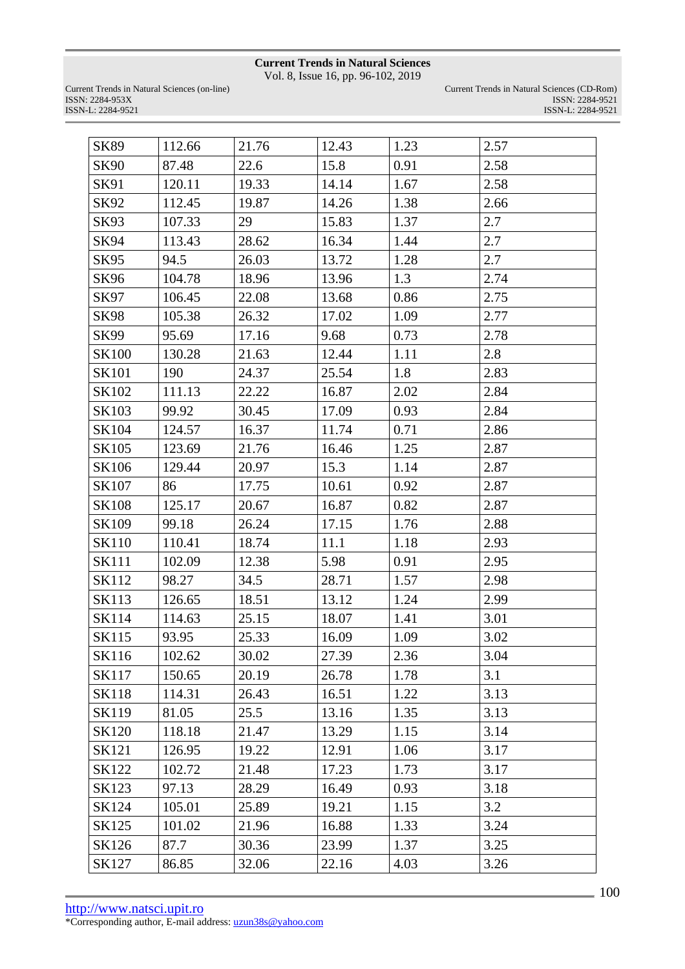Vol. 8, Issue 16, pp. 96-102, 2019

| <b>SK89</b>  | 112.66 | 21.76 | 12.43 | 1.23 | 2.57 |
|--------------|--------|-------|-------|------|------|
| <b>SK90</b>  | 87.48  | 22.6  | 15.8  | 0.91 | 2.58 |
| SK91         | 120.11 | 19.33 | 14.14 | 1.67 | 2.58 |
| SK92         | 112.45 | 19.87 | 14.26 | 1.38 | 2.66 |
| SK93         | 107.33 | 29    | 15.83 | 1.37 | 2.7  |
| SK94         | 113.43 | 28.62 | 16.34 | 1.44 | 2.7  |
| SK95         | 94.5   | 26.03 | 13.72 | 1.28 | 2.7  |
| SK96         | 104.78 | 18.96 | 13.96 | 1.3  | 2.74 |
| SK97         | 106.45 | 22.08 | 13.68 | 0.86 | 2.75 |
| <b>SK98</b>  | 105.38 | 26.32 | 17.02 | 1.09 | 2.77 |
| SK99         | 95.69  | 17.16 | 9.68  | 0.73 | 2.78 |
| <b>SK100</b> | 130.28 | 21.63 | 12.44 | 1.11 | 2.8  |
| SK101        | 190    | 24.37 | 25.54 | 1.8  | 2.83 |
| SK102        | 111.13 | 22.22 | 16.87 | 2.02 | 2.84 |
| SK103        | 99.92  | 30.45 | 17.09 | 0.93 | 2.84 |
| SK104        | 124.57 | 16.37 | 11.74 | 0.71 | 2.86 |
| SK105        | 123.69 | 21.76 | 16.46 | 1.25 | 2.87 |
| SK106        | 129.44 | 20.97 | 15.3  | 1.14 | 2.87 |
| SK107        | 86     | 17.75 | 10.61 | 0.92 | 2.87 |
| <b>SK108</b> | 125.17 | 20.67 | 16.87 | 0.82 | 2.87 |
| SK109        | 99.18  | 26.24 | 17.15 | 1.76 | 2.88 |
| <b>SK110</b> | 110.41 | 18.74 | 11.1  | 1.18 | 2.93 |
| SK111        | 102.09 | 12.38 | 5.98  | 0.91 | 2.95 |
| SK112        | 98.27  | 34.5  | 28.71 | 1.57 | 2.98 |
| SK113        | 126.65 | 18.51 | 13.12 | 1.24 | 2.99 |
| SK114        | 114.63 | 25.15 | 18.07 | 1.41 | 3.01 |
| <b>SK115</b> | 93.95  | 25.33 | 16.09 | 1.09 | 3.02 |
| SK116        | 102.62 | 30.02 | 27.39 | 2.36 | 3.04 |
| SK117        | 150.65 | 20.19 | 26.78 | 1.78 | 3.1  |
| <b>SK118</b> | 114.31 | 26.43 | 16.51 | 1.22 | 3.13 |
| SK119        | 81.05  | 25.5  | 13.16 | 1.35 | 3.13 |
| SK120        | 118.18 | 21.47 | 13.29 | 1.15 | 3.14 |
| SK121        | 126.95 | 19.22 | 12.91 | 1.06 | 3.17 |
| SK122        | 102.72 | 21.48 | 17.23 | 1.73 | 3.17 |
| SK123        | 97.13  | 28.29 | 16.49 | 0.93 | 3.18 |
| SK124        | 105.01 | 25.89 | 19.21 | 1.15 | 3.2  |
| SK125        | 101.02 | 21.96 | 16.88 | 1.33 | 3.24 |
| SK126        | 87.7   | 30.36 | 23.99 | 1.37 | 3.25 |
| SK127        | 86.85  | 32.06 | 22.16 | 4.03 | 3.26 |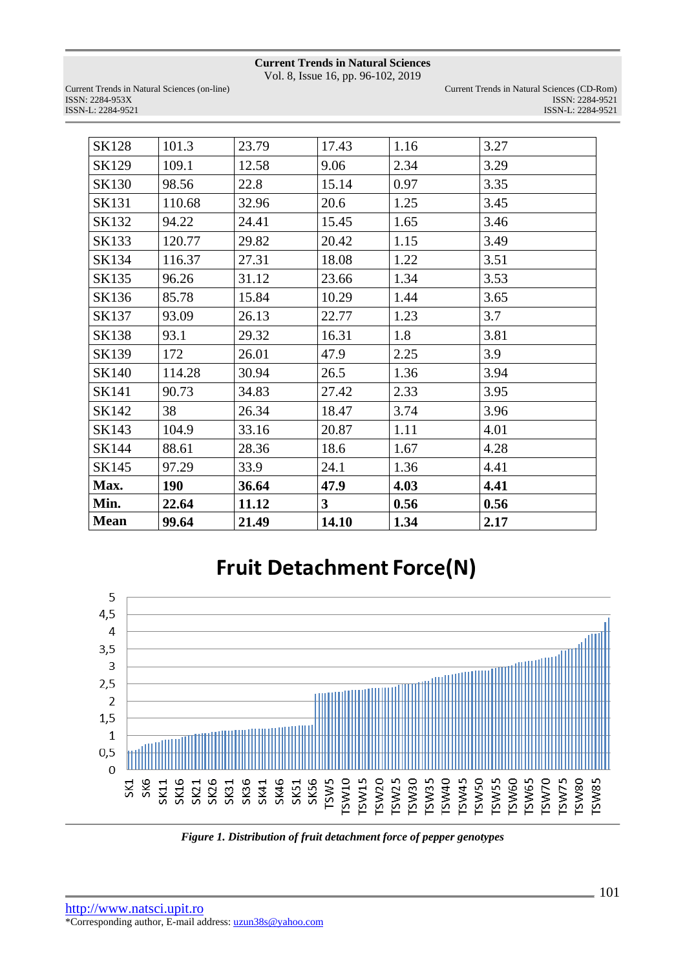Vol. 8, Issue 16, pp. 96-102, 2019

Current Trends in Natural Sciences (on-line) ISSN: 2284-953XISSN: 2284-9521 ISSN-L: 2284-9521 ISSN-L: 2284-9521

| Current Trends in Natural Sciences (CD-Rom) |
|---------------------------------------------|
| ISSN: 2284-9521                             |
| ISSN-L: 2284-9521                           |

| <b>SK128</b> | 101.3  | 23.79 | 17.43        | 1.16 | 3.27 |
|--------------|--------|-------|--------------|------|------|
| SK129        | 109.1  | 12.58 | 9.06         | 2.34 | 3.29 |
| SK130        | 98.56  | 22.8  | 15.14        | 0.97 | 3.35 |
| <b>SK131</b> | 110.68 | 32.96 | 20.6         | 1.25 | 3.45 |
| SK132        | 94.22  | 24.41 | 15.45        | 1.65 | 3.46 |
| SK133        | 120.77 | 29.82 | 20.42        | 1.15 | 3.49 |
| SK134        | 116.37 | 27.31 | 18.08        | 1.22 | 3.51 |
| SK135        | 96.26  | 31.12 | 23.66        | 1.34 | 3.53 |
| SK136        | 85.78  | 15.84 | 10.29        | 1.44 | 3.65 |
| SK137        | 93.09  | 26.13 | 22.77        | 1.23 | 3.7  |
| SK138        | 93.1   | 29.32 | 16.31        | 1.8  | 3.81 |
| SK139        | 172    | 26.01 | 47.9         | 2.25 | 3.9  |
| SK140        | 114.28 | 30.94 | 26.5         | 1.36 | 3.94 |
| SK141        | 90.73  | 34.83 | 27.42        | 2.33 | 3.95 |
| SK142        | 38     | 26.34 | 18.47        | 3.74 | 3.96 |
| SK143        | 104.9  | 33.16 | 20.87        | 1.11 | 4.01 |
| SK144        | 88.61  | 28.36 | 18.6         | 1.67 | 4.28 |
| SK145        | 97.29  | 33.9  | 24.1         | 1.36 | 4.41 |
| Max.         | 190    | 36.64 | 47.9         | 4.03 | 4.41 |
| Min.         | 22.64  | 11.12 | $\mathbf{3}$ | 0.56 | 0.56 |
| <b>Mean</b>  | 99.64  | 21.49 | 14.10        | 1.34 | 2.17 |

# **Fruit Detachment Force(N)**



*Figure 1. Distribution of fruit detachment force of pepper genotypes*